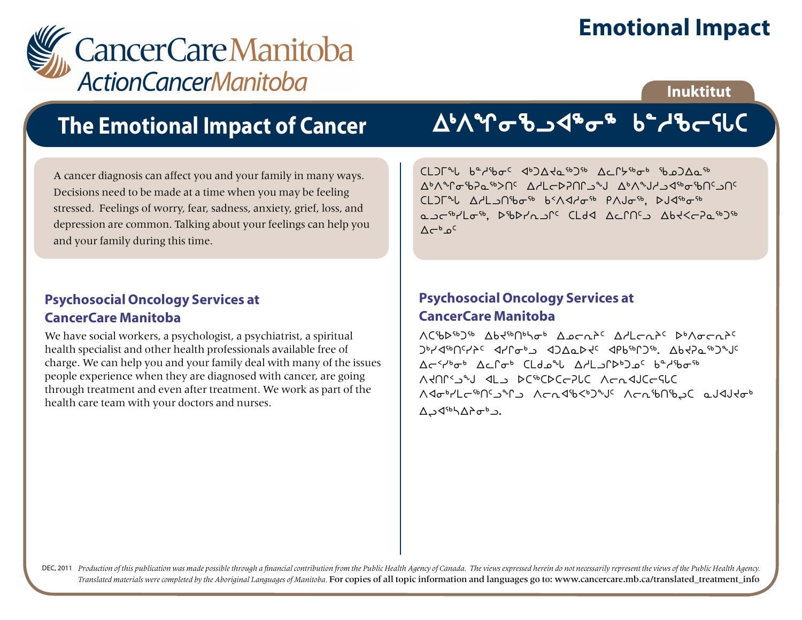# **Emotional Impact**



### **Inuktitut**

## **The Emotional Impact of Cancer**

A cancer diagnosis can affect you and your family in many ways. Decisions need to be made at a time when you may be feeling stressed. Feelings of worry, fear, sadness, anxiety, grief, loss, and depression are common. Talking about your feelings can help you and your family during this time.

### **Psychosocial Oncology Services at CancerCare Manitoba**

We have social workers, a psychologist, a psychiatrist, a spiritual health specialist and other health professionals available free of charge. We can help you and your family deal with many of the issues people experience when they are diagnosed with cancer, are going through treatment and even after treatment. We work as part of the health care team with your doctors and nurses.

# AWGBJ48o8 b2dBcSLC

 $CL$ ) $\Gamma$ <sup>n</sup> $L$  b<sup>a</sup> $\gamma$ <sup>1</sup>b $\sigma$ <sup>c</sup>  $\Phi$ <sup>3</sup> $\Delta$  $\Delta$ d<sub>5</sub>6  $\Delta$ 2 $\Delta$  $\Delta$ 56  $\Delta$  $\Lambda^b \Lambda^a \Lambda^c \pi^c$ h2o  $\Lambda^b \Lambda^c$  which child watch watch watch watch watch watch watch watch watch watch watch watch watch watch watch watch watch watch watch watch watch watch watch watch watch watch watch watch watch wa CLJL QAL AND 66 65/1406 PAJ06, DJ46606 auc<sup>56</sup>/Lo<sup>56</sup>, DSbYnuf<sup>c</sup> CLdd Acfncu Abt<c7a56756  $\Lambda$  $e^{b}$   $o^{c}$ 

### **Psychosocial Oncology Services at CancerCare Manitoba**

WC66b6056 Abd606/066 Apcalc Adlcatc b6/10calc JPY<FOQYAC<br />
JPY<FOQYAC<br />
ADA<br />
JPY<FOQYAC<br />
ADA<br />
JPY<FOQYAC<br />
ADA<br />
DP<<br />
TOD<br />
DP<<br />
TOD<br />
TOD<br />
TOD<br />
TOD<br />
TOD<br />
TOD<br />
TOD<br />
TOD<br />
TOD<br />
TOD<  $\Delta$ << ישר 4 מילים של 4 שיילוג Ad-< וואס 45 של 45 מילוג של 45 מילוג של 45 מילוג של 45 מילוג מ webCaptic Acaduccalc Arthropology Math/Lcinnship Achdib<br/>toplic Achibang Caldudation Néara ∆د<sup>6</sup>ه ל∆ל<sup>46</sup>>.

DEC, 2011 Production of this publication was made possible through a financial contribution from the Public Health Agency of Canada. The views expressed herein do not necessarily represent the views of the Public Health Ag *Translated materials were completed by the Aboriginal Languages of Manitoba.* For copies of all topic information and languages go to: www.cancercare.mb.ca/translated\_treatment\_info